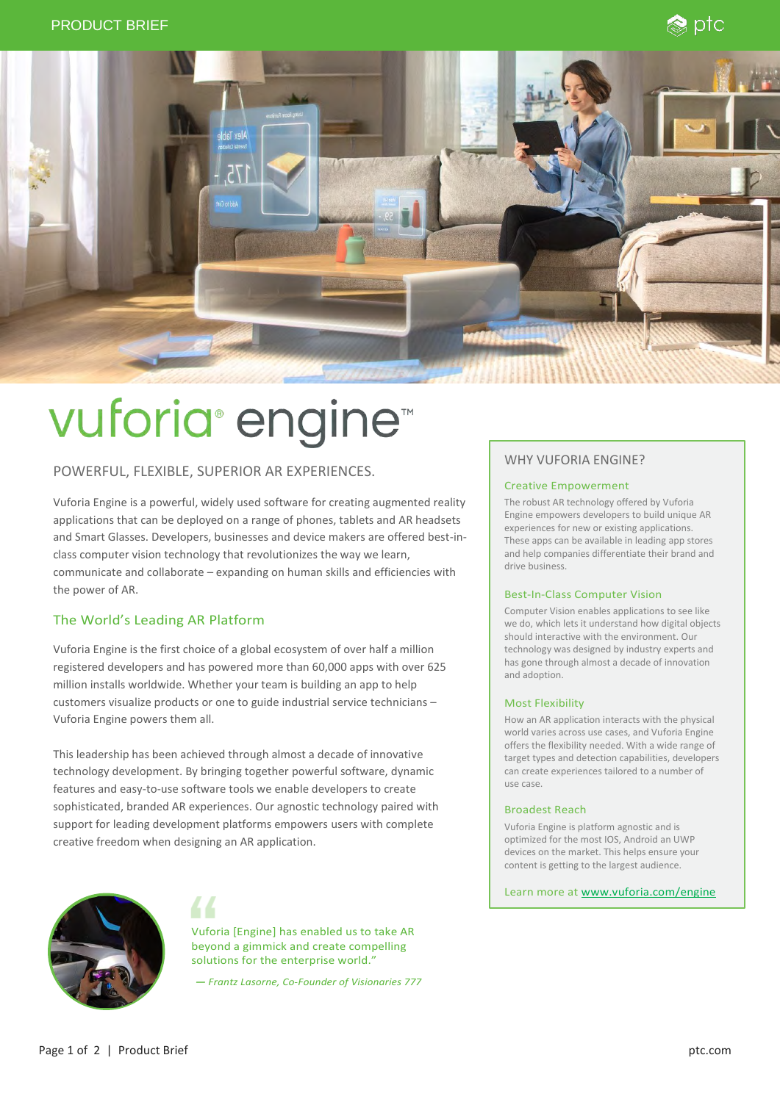



# vuforia<sup>®</sup> engine<sup>™</sup>

# POWERFUL, FLEXIBLE, SUPERIOR AR EXPERIENCES.

Vuforia Engine is a powerful, widely used software for creating augmented reality applications that can be deployed on a range of phones, tablets and AR headsets and Smart Glasses. Developers, businesses and device makers are offered best-inclass computer vision technology that revolutionizes the way we learn, communicate and collaborate – expanding on human skills and efficiencies with the power of AR.

# The World's Leading AR Platform

Vuforia Engine is the first choice of a global ecosystem of over half a million registered developers and has powered more than 60,000 apps with over 625 million installs worldwide. Whether your team is building an app to help customers visualize products or one to guide industrial service technicians – Vuforia Engine powers them all.

This leadership has been achieved through almost a decade of innovative technology development. By bringing together powerful software, dynamic features and easy-to-use software tools we enable developers to create sophisticated, branded AR experiences. Our agnostic technology paired with support for leading development platforms empowers users with complete creative freedom when designing an AR application.



Vuforia [Engine] has enabled us to take AR beyond a gimmick and create compelling solutions for the enterprise world."

*— Frantz Lasorne, Co-Founder of Visionaries 777*

# WHY VUFORIA ENGINE?

## Creative Empowerment

The robust AR technology offered by Vuforia Engine empowers developers to build unique AR experiences for new or existing applications. These apps can be available in leading app stores and help companies differentiate their brand and drive business.

### Best-In-Class Computer Vision

Computer Vision enables applications to see like we do, which lets it understand how digital objects should interactive with the environment. Our technology was designed by industry experts and has gone through almost a decade of innovation and adoption.

## Most Flexibility

How an AR application interacts with the physical world varies across use cases, and Vuforia Engine offers the flexibility needed. With a wide range of target types and detection capabilities, developers can create experiences tailored to a number of use case.

#### Broadest Reach

Vuforia Engine is platform agnostic and is optimized for the most IOS, Android an UWP devices on the market. This helps ensure your content is getting to the largest audience.

Learn more at [www.vuforia.com/engine](https://www.vuforia.com/engine)